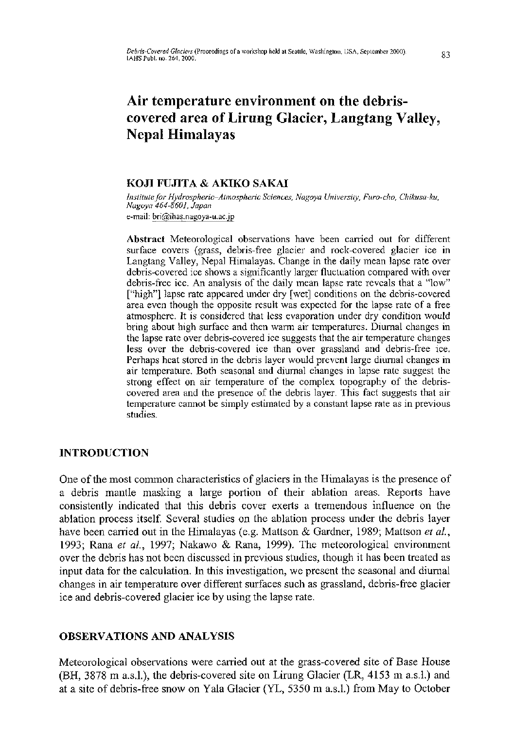# **Air temperature environment on the debriscovered area of Lirung Glacier, Langtang Valley, Nepal Himalayas**

# **KOJI FUJITA & AKIKO SAKAI**

*Institute for Hydrospheric-Atmospheric Sciences, Nagoya University, Furo-cho, Chikusa-ku, Nagoya 464-8601, Japan*  e-mail: bri@ihas.nagoya-u.ac.jp

Abstract Meteorological observations have been carried out for different surface covers (grass, debris-free glacier and rock-covered glacier ice in Langtang Valley, Nepal Himalayas. Change in the daily mean lapse rate over debris-covered ice shows a significantly larger fluctuation compared with over debris-free ice. An analysis of the daily mean lapse rate reveals that a "low" ["high"] lapse rate appeared under dry [wet] conditions on the debris-covered area even though the opposite result was expected for the lapse rate of a free atmosphere. It is considered that less evaporation under dry condition would bring about high surface and then warm air temperatures. Diurnal changes in the lapse rate over debris-covered ice suggests that the air temperature changes less over the debris-covered ice than over grassland and debris-free ice. Perhaps heat stored in the debris layer would prevent large diurnal changes in air temperature. Both seasonal and diurnal changes in lapse rate suggest the strong effect on air temperature of the complex topography of the debriscovered area and the presence of the debris layer. This fact suggests that air temperature cannot be simply estimated by a constant lapse rate as in previous studies.

# **INTRODUCTION**

One of the most common characteristics of glaciers in the Himalayas is the presence of a debris mantle masking a large portion of their ablation areas. Reports have consistently indicated that this debris cover exerts a tremendous influence on the ablation process itself. Several studies on the ablation process under the debris layer have been carried out in the Himalayas (e.g. Mattson & Gardner, 1989; Mattson *et al,*  1993; Rana *et al,* 1997; Nakawo & Rana, 1999). The meteorological environment over the debris has not been discussed in previous studies, though it has been treated as input data for the calculation. In this investigation, we present the seasonal and diumal changes in air temperature over different surfaces such as grassland, debris-free glacier ice and debris-covered glacier ice by using the lapse rate.

# **OBSERVATIONS AND ANALYSIS**

Meteorological observations were carried out at the grass-covered site of Base House (BH, 3878 m a.s.L), the debris-covered site on Lirung Glacier (LR, 4153 m a.s.l.) and at a site of debris-free snow on Yala Glacier (YL, 5350 m a.s.l.) from May to October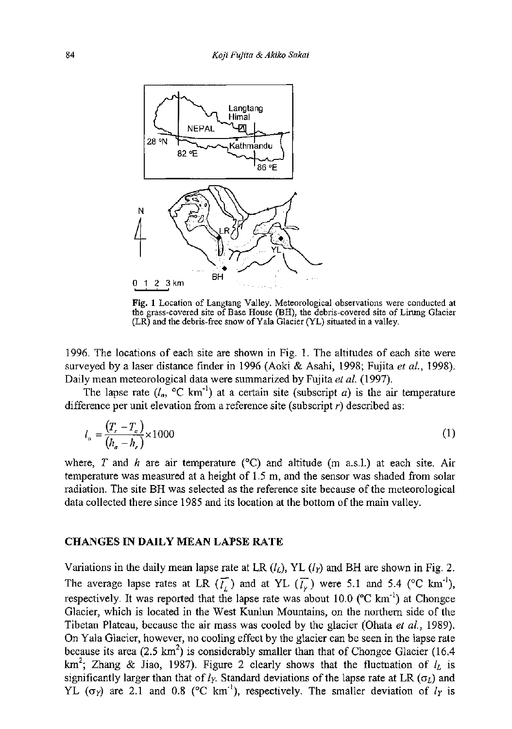

Fig. 1 Location of Langtang Valley. Meteorological observations were conducted at the grass-covered site of Base House (BH), the debris-covered site of Lirung Glacier  $(LR)$  and the debris-free snow of Yala Glacier (YL) situated in a valley.

1996. The locations of each site are shown in Fig. 1. The altitudes of each site were surveyed by a laser distance finder in 1996 (Aoki & Asahi, 1998; Fujita *et al,* 1998). Daily mean meteorological data were summarized by Fujita *et al.* (1997).

The lapse rate  $(l_a, {}^{\circ}C \text{ km}^{\cdot})$  at a certain site (subscript *a*) is the air temperature difference per unit elevation from a reference site (subscript *r)* described as:

$$
l_a = \frac{(T_r - T_a)}{(h_a - h_r)} \times 1000
$$
 (1)

where, *T* and *h* are air temperature (°C) and altitude (m a.s.l.) at each site. Air temperature was measured at a height of 1.5 m, and the sensor was shaded from solar radiation. The site BH was selected as the reference site because of the meteorological data collected there since 1985 and its location at the bottom of the main valley.

#### CHANGES IN DAILY MEAN LAPSE RATE

Variations in the daily mean lapse rate at LR  $(l_L)$ , YL  $(l_T)$  and BH are shown in Fig. 2. The average lapse rates at LR  $(\bar{t})$  and at YL  $(\bar{t})$  were 5.1 and 5.4 (°C km<sup>-1</sup>). respectively. It was reported that the lapse rate was about  $10.0$  ( $\rm{°C \ km^{-1}}$ ) at Chongce Glacier, which is located in the West Kunlun Mountains, on the northern side of the Tibetan Plateau, because the air mass was cooled by the glacier (Ohata *et al.,* 1989). On Yala Glacier, however, no cooling effect by the glacier can be seen in the lapse rate because its area (2.5  $km^2$ ) is considerably smaller than that of Chongce Glacier (16.4) km<sup>2</sup>: Zhang & Jiao, 1987). Figure 2 clearly shows that the fluctuation of  $l<sub>i</sub>$  is significantly larger than that of  $l_Y$ . Standard deviations of the lapse rate at LR  $(\sigma_l)$  and YL ( $\sigma_Y$ ) are 2.1 and 0.8 (°C km<sup>-1</sup>), respectively. The smaller deviation of  $l_Y$  is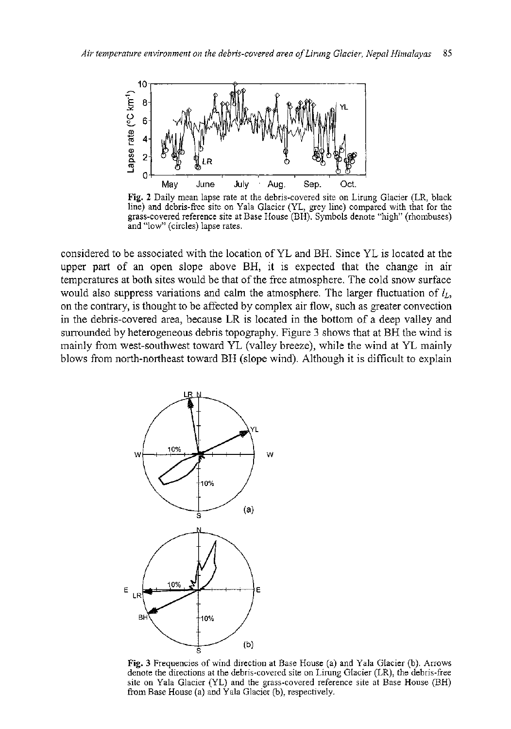

Fig. 2 Daily mean lapse rate at the debris-covered site on Lirung Glacier (LR, black line) and debris-free site on Yala Glacier (YL, grey line) compared with that for the grass-covered reference site at Base House (BH). Symbols denote "high" (rhombuses) and "low" (circles) lapse rates.

considered to be associated with the location of YL and BH. Since YL is located at the upper part of an open slope above BH, it is expected that the change in air temperatures at both sites would be that of the free atmosphere. The cold snow surface would also suppress variations and calm the atmosphere. The larger fluctuation of  $l_L$ , on the contrary, is thought to be affected by complex air flow, such as greater convection in the debris-covered area, because LR is located in the bottom of a deep valley and surrounded by heterogeneous debris topography. Figure 3 shows that at BH the wind is mainly from west-southwest toward YL (valley breeze), while the wind at YL mainly blows from north-northeast toward BH (slope wind). Although it is difficult to explain



Fig. 3 Frequencies of wind direction at Base House (a) and Yala Glacier (b). Arrows denote the directions at the debris-covered site on Lirung Glacier (LR), the debris-free site on Yala Glacier (YL) and the grass-covered reference site at Base House (BH) from Base House (a) and Yala Glacier (b), respectively.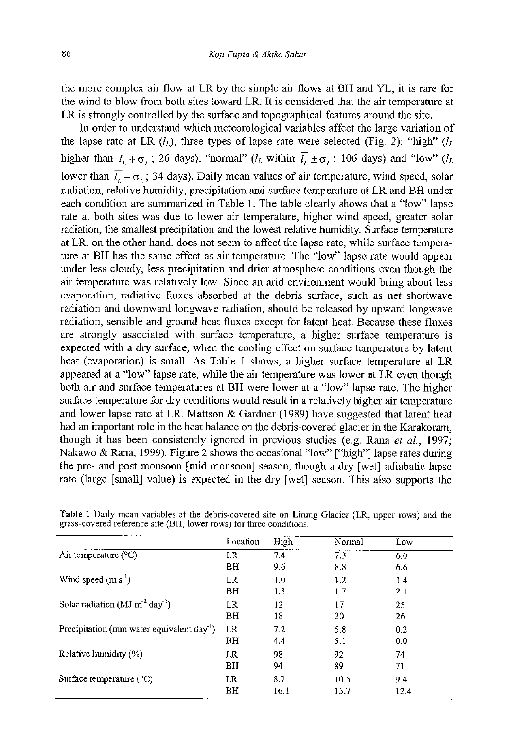the more complex air flow at LR by the simple air flows at BH and YL, it is rare for the wind to blow from both sites toward LR. It is considered that the air temperature at LR is strongly controlled by the surface and topographical features around the site.

In order to understand which meteorological variables affect the large variation of the lapse rate at LR  $(l_L)$ , three types of lapse rate were selected (Fig. 2): "high"  $(l_L)$ higher than  $\overline{l}_L + \sigma_L$ ; 26 days), "normal" ( $l_L$  within  $\overline{l}_L \pm \sigma_L$ ; 106 days) and "low" ( $l_L$ lower than  $\overline{l}_L - \sigma_L$ ; 34 days). Daily mean values of air temperature, wind speed, solar radiation, relative humidity, precipitation and surface temperature at LR and BH under each condition are summarized in Table 1. The table clearly shows that a "low" lapse rate at both sites was due to lower air temperature, higher wind speed, greater solar radiation, the smallest precipitation and the lowest relative humidity. Surface temperature at LR, on the other hand, does not seem to affect the lapse rate, while surface temperature at BH has the same effect as air temperature. The "low" lapse rate would appear under less cloudy, less precipitation and drier atmosphere conditions even though the air temperature was relatively low. Since an arid environment would bring about less evaporation, radiative fluxes absorbed at the debris surface, such as net shortwave radiation and downward longwave radiation, should be released by upward longwave radiation, sensible and ground heat fluxes except for latent heat. Because these fluxes are strongly associated with surface temperature, a higher surface temperature is expected with a dry surface, when the cooling effect on surface temperature by latent heat (evaporation) is small. As Table 1 shows, a higher surface temperature at LR appeared at a "low" lapse rate, while the air temperature was lower at LR even though both air and surface temperatures at BH were lower at a "low" lapse rate. The higher surface temperature for dry conditions would result in a relatively higher air temperature and lower lapse rate at LR. Mattson & Gardner (1989) have suggested that latent heat had an important role in the heat balance on the debris-covered glacier in the Karakoram, though it has been consistently ignored in previous studies (e.g. Rana *et al,* 1997; Nakawo & Rana, 1999). Figure 2 shows the occasional "low" ["high"] lapse rates during the pre- and post-monsoon [mid-monsoon] season, though a dry [wet] adiabatic lapse rate (large [small] value) is expected in the dry [wet] season. This also supports the

|                                                            | Location | High | Normal | Low  |
|------------------------------------------------------------|----------|------|--------|------|
| Air temperature $(^{\circ}C)$                              | LR       | 7.4  | 7.3    | 6.0  |
|                                                            | BH       | 9.6  | 8.8    | 6.6  |
| Wind speed $(m s-1)$                                       | LR.      | 1.0  | 1.2    | 1.4  |
|                                                            | BH       | 1.3  | 1.7    | 2,1  |
| Solar radiation ( $MJ$ m <sup>-2</sup> day <sup>-1</sup> ) | LR.      | 12   | 17     | 25   |
|                                                            | ВH       | 18   | 20     | 26   |
| Precipitation (mm water equivalent $day^{-1}$ )            | LR.      | 7.2  | 5.8    | 0.2  |
|                                                            | BH       | 4.4  | 5.1    | 0.0  |
| Relative humidity (%)                                      | LR       | 98   | 92     | 74   |
|                                                            | ВH       | 94   | 89     | 71   |
| Surface temperature $(^{\circ}C)$                          | LR.      | 8.7  | 10.5   | 9.4  |
|                                                            | BH       | 16.1 | 15.7   | 12.4 |

**Table 1** Daily mean variables at the debris-covered site on Lirung Glacier (LR, upper rows) and the grass-covered reference site (BH, lower rows) for three conditions.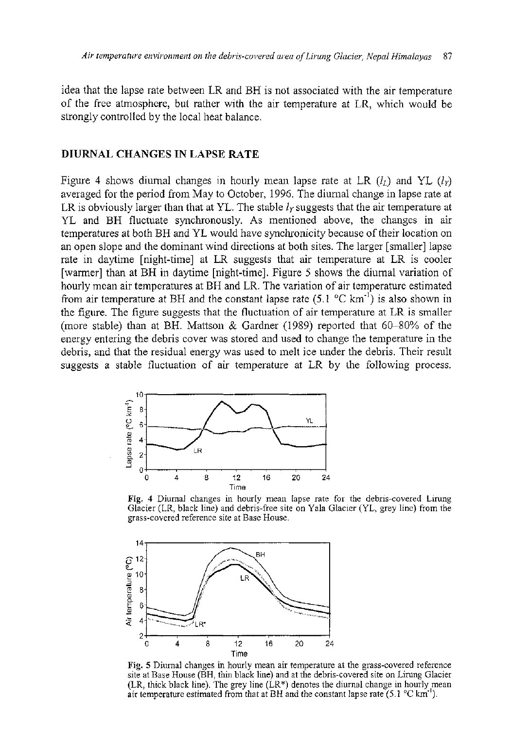idea that the lapse rate between LR and BH is not associated with the air temperature of the free atmosphere, but rather with the air temperature at LR, which would be strongly controlled by the local heat balance.

## DIURNAL CHANGES IN LAPSE RATE

Figure 4 shows diurnal changes in hourly mean lapse rate at LR  $(l_1)$  and YL  $(l_2)$ averaged for the period from May to October, 1996. The diurnal change in lapse rate at LR is obviously larger than that at YL. The stable  $l_Y$  suggests that the air temperature at YL and BH fluctuate synchronously. As mentioned above, the changes in air temperatures at both BH and YL would have synchronicity because of their location on an open slope and the dominant wind directions at both sites. The larger [smaller] lapse rate in daytime [night-time] at LR suggests that air temperature at LR is cooler [warmer] than at BH in daytime [night-time]. Figure 5 shows the diurnal variation of hourly mean air temperatures at BH and LR. The variation of air temperature estimated from air temperature at BH and the constant lapse rate  $(5.1 \text{ °C km}^{-1})$  is also shown in the figure. The figure suggests that the fluctuation of air temperature at LR is smaller (more stable) than at BH. Mattson & Gardner (1989) reported that 60-80% of the energy entering the debris cover was stored and used to change the temperature in the debris, and that the residual energy was used to melt ice under the debris. Their result suggests a stable fluctuation of air temperature at LR by the following process.



**Fig. 4** Diurnal changes in hourly mean lapse rate for the debris-covered Lirung Glacier (LR, black line) and debris-free site on Yala Glacier (YL, grey line) from the grass-covered reference site at Base House.



**Fig. 5** Diurnal changes in hourly mean air temperature at the grass-covered reference site at Base House (BH, thin black line) and at the debris-covered site on Lirung Glacier (LR, thick black line). The grey line (LR\*) denotes the diurnal change in hourly mean air temperature estimated from that at BH and the constant lapse rate  $(5.1 \text{ °C km}^{-1})$ .